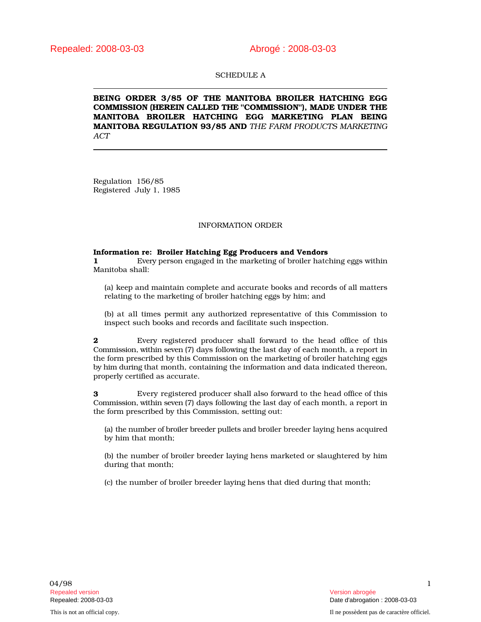## SCHEDULE A

BEING ORDER 3/85 OF THE MANITOBA BROILER HATCHING EGG COMMISSION (HEREIN CALLED THE "COMMISSION"), MADE UNDER THE MANITOBA BROILER HATCHING EGG MARKETING PLAN BEING MANITOBA REGULATION 93/85 AND *THE FARM PRODUCTS MARKETING ACT*

Regulation 156/85 Registered July 1, 1985

### INFORMATION ORDER

# Information re: Broiler Hatching Egg Producers and Vendors

1 Every person engaged in the marketing of broiler hatching eggs within Manitoba shall:

(a) keep and maintain complete and accurate books and records of all matters relating to the marketing of broiler hatching eggs by him; and

(b) at all times permit any authorized representative of this Commission to inspect such books and records and facilitate such inspection.

2 Every registered producer shall forward to the head office of this Commission, within seven (7) days following the last day of each month, a report in the form prescribed by this Commission on the marketing of broiler hatching eggs by him during that month, containing the information and data indicated thereon, properly certified as accurate.

3 Every registered producer shall also forward to the head office of this Commission, within seven (7) days following the last day of each month, a report in the form prescribed by this Commission, setting out:

(a) the number of broiler breeder pullets and broiler breeder laying hens acquired by him that month;

(b) the number of broiler breeder laying hens marketed or slaughtered by him during that month;

(c) the number of broiler breeder laying hens that died during that month;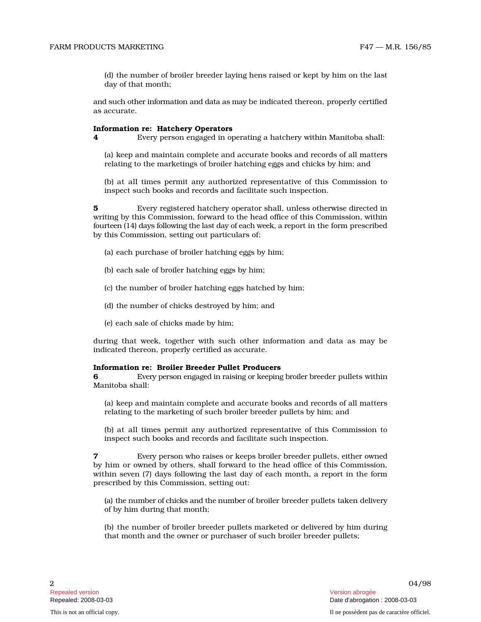(d) the number of broiler breeder laying hens raised or kept by him on the last day of that month;

and such other information and data as may be indicated thereon, properly certified as accurate.

#### Information re: Hatchery Operators

4 Every person engaged in operating a hatchery within Manitoba shall:

(a) keep and maintain complete and accurate books and records of all matters relating to the marketings of broiler hatching eggs and chicks by him; and

(b) at all times permit any authorized representative of this Commission t o inspect such books and records and facilitate such inspection.

**5** Every registered hatchery operator shall, unless otherwise directed in writing by this Commission, forward to the head office of this Commission, within fourteen (14) days following the last day of each week, a report in the form prescribed by this Commission, setting out particulars of:

- (a) each purchase of broiler hatching eggs by him;
- (b) each sale of broiler hatching eggs by him;
- (c) the number of broiler hatching eggs hatched by him;
- (d) the number of chicks destroyed by him; and
- (e) each sale of chicks made by him;

during that week, together with such other information and data as may be indicated thereon, properly certified as accurate.

#### Information re: Broiler Breeder Pullet Producers

**6** Every person engaged in raising or keeping broiler breeder pullets within Manitoba shall:

(a) keep and maintain complete and accurate books and records of all matters relating to the marketing of such broiler breeder pullets by him; and

(b) at all times permit any authorized representative of this Commission to inspect such books and records and facilitate such inspection.

7 Eve ry person who raises or keeps broiler breeder pullets, either owned by him or owned by others, shall forward to the head office of this Commission, within seven (7) days following the last day of each month, a report in the form prescribed by this Commission, setting out:

(a) the number of chicks and the number of broiler breeder pullets taken delivery of by him during that month;

(b) the number of broiler breeder pullets marketed or delivered by him during that month and the owner or purchaser of such broiler breeder pullets;